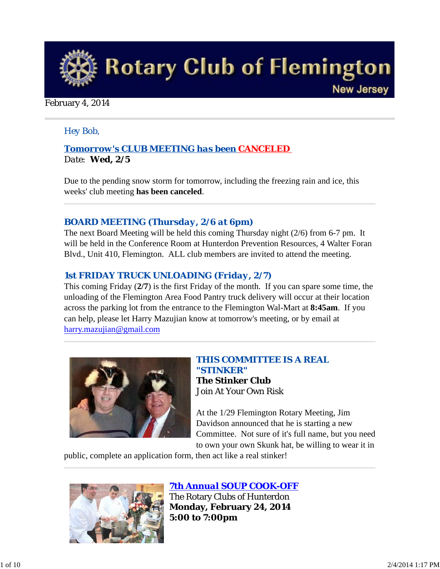

### February 4, 2014

## *Hey Bob,*

## *Tomorrow's CLUB MEETING has been CANCELED Date: Wed, 2/5*

Due to the pending snow storm for tomorrow, including the freezing rain and ice, this weeks' club meeting **has been canceled**.

## *BOARD MEETING (Thursday, 2/6 at 6pm)*

The next Board Meeting will be held this coming Thursday night (2/6) from 6-7 pm. It will be held in the Conference Room at Hunterdon Prevention Resources, 4 Walter Foran Blvd., Unit 410, Flemington. ALL club members are invited to attend the meeting.

## *1st FRIDAY TRUCK UNLOADING (Friday, 2/7)*

This coming Friday (**2/7**) is the first Friday of the month. If you can spare some time, the unloading of the Flemington Area Food Pantry truck delivery will occur at their location across the parking lot from the entrance to the Flemington Wal-Mart at **8:45am**. If you can help, please let Harry Mazujian know at tomorrow's meeting, or by email at harry.mazujian@gmail.com



*THIS COMMITTEE IS A REAL "STINKER"* **The Stinker Club** Join At Your Own Risk

At the 1/29 Flemington Rotary Meeting, Jim Davidson announced that he is starting a new Committee. Not sure of it's full name, but you need to own your own Skunk hat, be willing to wear it in

public, complete an application form, then act like a real stinker!



*7th Annual SOUP COOK-OFF* The Rotary Clubs of Hunterdon

**Monday, February 24, 2014 5:00 to 7:00pm**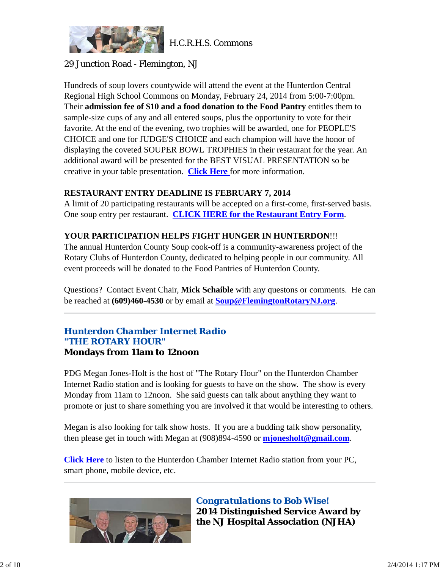

H.C.R.H.S. Commons

## 29 Junction Road - Flemington, NJ

Hundreds of soup lovers countywide will attend the event at the Hunterdon Central Regional High School Commons on Monday, February 24, 2014 from 5:00-7:00pm. Their **admission fee of \$10 and a food donation to the Food Pantry** entitles them to sample-size cups of any and all entered soups, plus the opportunity to vote for their favorite. At the end of the evening, two trophies will be awarded, one for PEOPLE'S CHOICE and one for JUDGE'S CHOICE and each champion will have the honor of displaying the coveted SOUPER BOWL TROPHIES in their restaurant for the year. An additional award will be presented for the BEST VISUAL PRESENTATION so be creative in your table presentation. **Click Here** for more information.

#### **RESTAURANT ENTRY DEADLINE IS FEBRUARY 7, 2014**

A limit of 20 participating restaurants will be accepted on a first-come, first-served basis. One soup entry per restaurant. **CLICK HERE for the Restaurant Entry Form**.

## **YOUR PARTICIPATION HELPS FIGHT HUNGER IN HUNTERDON**!!!

The annual Hunterdon County Soup cook-off is a community-awareness project of the Rotary Clubs of Hunterdon County, dedicated to helping people in our community. All event proceeds will be donated to the Food Pantries of Hunterdon County.

Questions? Contact Event Chair, **Mick Schaible** with any questons or comments. He can be reached at **(609)460-4530** or by email at **Soup@FlemingtonRotaryNJ.org**.

## *Hunterdon Chamber Internet Radio "THE ROTARY HOUR"* **Mondays from 11am to 12noon**

PDG Megan Jones-Holt is the host of "The Rotary Hour" on the Hunterdon Chamber Internet Radio station and is looking for guests to have on the show. The show is every Monday from 11am to 12noon. She said guests can talk about anything they want to promote or just to share something you are involved it that would be interesting to others.

Megan is also looking for talk show hosts. If you are a budding talk show personality, then please get in touch with Megan at (908)894-4590 or **mjonesholt@gmail.com**.

**Click Here** to listen to the Hunterdon Chamber Internet Radio station from your PC, smart phone, mobile device, etc.



*Congratulations to Bob Wise!* **2014 Distinguished Service Award by the NJ Hospital Association (NJHA)**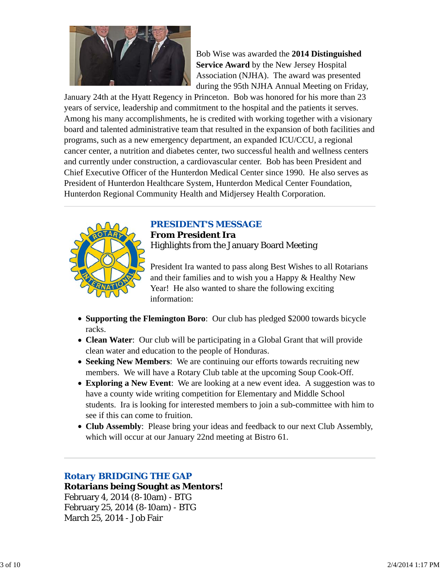

Bob Wise was awarded the **2014 Distinguished Service Award** by the New Jersey Hospital Association (NJHA). The award was presented during the 95th NJHA Annual Meeting on Friday,

January 24th at the Hyatt Regency in Princeton. Bob was honored for his more than 23 years of service, leadership and commitment to the hospital and the patients it serves. Among his many accomplishments, he is credited with working together with a visionary board and talented administrative team that resulted in the expansion of both facilities and programs, such as a new emergency department, an expanded ICU/CCU, a regional cancer center, a nutrition and diabetes center, two successful health and wellness centers and currently under construction, a cardiovascular center. Bob has been President and Chief Executive Officer of the Hunterdon Medical Center since 1990. He also serves as President of Hunterdon Healthcare System, Hunterdon Medical Center Foundation, Hunterdon Regional Community Health and Midjersey Health Corporation.



## *PRESIDENT'S MESSAGE*

**From President Ira** Highlights from the January Board Meeting

President Ira wanted to pass along Best Wishes to all Rotarians and their families and to wish you a Happy & Healthy New Year! He also wanted to share the following exciting information:

- **Supporting the Flemington Boro**: Our club has pledged \$2000 towards bicycle racks.
- **Clean Water**: Our club will be participating in a Global Grant that will provide clean water and education to the people of Honduras.
- **Seeking New Members**: We are continuing our efforts towards recruiting new members. We will have a Rotary Club table at the upcoming Soup Cook-Off.
- **Exploring a New Event**: We are looking at a new event idea. A suggestion was to have a county wide writing competition for Elementary and Middle School students. Ira is looking for interested members to join a sub-committee with him to see if this can come to fruition.
- **Club Assembly**: Please bring your ideas and feedback to our next Club Assembly, which will occur at our January 22nd meeting at Bistro 61.

## *Rotary BRIDGING THE GAP*

**Rotarians being Sought as Mentors!** February 4, 2014 (8-10am) - BTG February 25, 2014 (8-10am) - BTG March 25, 2014 - Job Fair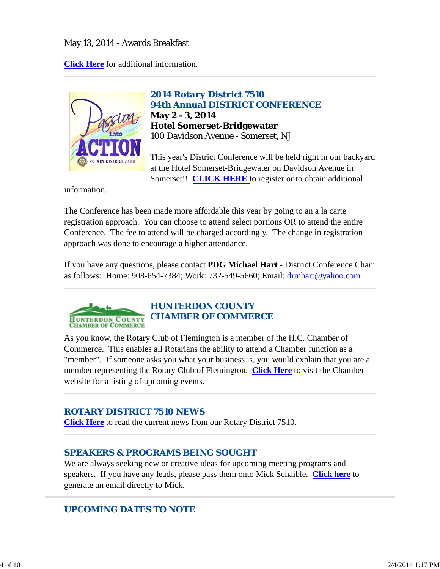## May 13, 2014 - Awards Breakfast

**Click Here** for additional information.



*2014 Rotary District 7510 94th Annual DISTRICT CONFERENCE* **May 2 - 3, 2014 Hotel Somerset-Bridgewater** 100 Davidson Avenue - Somerset, NJ

This year's District Conference will be held right in our backyard at the Hotel Somerset-Bridgewater on Davidson Avenue in Somerset!! **CLICK HERE** to register or to obtain additional

information.

The Conference has been made more affordable this year by going to an a la carte registration approach. You can choose to attend select portions OR to attend the entire Conference. The fee to attend will be charged accordingly. The change in registration approach was done to encourage a higher attendance.

If you have any questions, please contact **PDG Michael Hart** - District Conference Chair as follows: Home: 908-654-7384; Work: 732-549-5660; Email: drmhart@yahoo.com



As you know, the Rotary Club of Flemington is a member of the H.C. Chamber of Commerce. This enables all Rotarians the ability to attend a Chamber function as a "member". If someone asks you what your business is, you would explain that you are a member representing the Rotary Club of Flemington. **Click Here** to visit the Chamber website for a listing of upcoming events.

## *ROTARY DISTRICT 7510 NEWS*

**Click Here** to read the current news from our Rotary District 7510.

## *SPEAKERS & PROGRAMS BEING SOUGHT*

We are always seeking new or creative ideas for upcoming meeting programs and speakers. If you have any leads, please pass them onto Mick Schaible. **Click here** to generate an email directly to Mick.

## *UPCOMING DATES TO NOTE*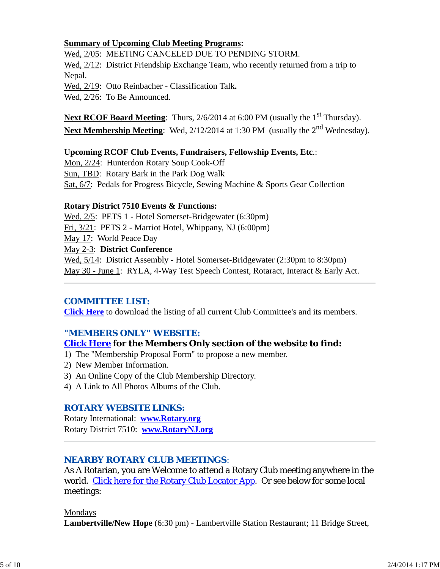### **Summary of Upcoming Club Meeting Programs:**

Wed, 2/05: MEETING CANCELED DUE TO PENDING STORM.

Wed,  $2/12$ : District Friendship Exchange Team, who recently returned from a trip to Nepal.

Wed, 2/19: Otto Reinbacher - Classification Talk**.**

Wed, 2/26: To Be Announced.

**Next RCOF Board Meeting**: Thurs, 2/6/2014 at 6:00 PM (usually the 1<sup>st</sup> Thursday). **Next Membership Meeting**: Wed, 2/12/2014 at 1:30 PM (usually the 2<sup>nd</sup> Wednesday).

#### **Upcoming RCOF Club Events, Fundraisers, Fellowship Events, Etc**.:

Mon, 2/24: Hunterdon Rotary Soup Cook-Off Sun, TBD: Rotary Bark in the Park Dog Walk Sat, 6/7: Pedals for Progress Bicycle, Sewing Machine & Sports Gear Collection

#### **Rotary District 7510 Events & Functions:**

Wed,  $2/5$ : PETS 1 - Hotel Somerset-Bridgewater (6:30pm) Fri, 3/21: PETS 2 - Marriot Hotel, Whippany, NJ (6:00pm) May 17: World Peace Day May 2-3: **District Conference** Wed,  $5/14$ : District Assembly - Hotel Somerset-Bridgewater (2:30pm to 8:30pm) May 30 - June 1: RYLA, 4-Way Test Speech Contest, Rotaract, Interact & Early Act.

## *COMMITTEE LIST:*

**Click Here** to download the listing of all current Club Committee's and its members.

## *"MEMBERS ONLY" WEBSITE:*

## **Click Here for the Members Only section of the website to find:**

- 1) The "Membership Proposal Form" to propose a new member.
- 2) New Member Information.
- 3) An Online Copy of the Club Membership Directory.
- 4) A Link to All Photos Albums of the Club.

## *ROTARY WEBSITE LINKS:*

Rotary International: **www.Rotary.org** Rotary District 7510: **www.RotaryNJ.org**

## *NEARBY ROTARY CLUB MEETINGS:*

As A Rotarian, you are Welcome to attend a Rotary Club meeting anywhere in the world. Click here for the Rotary Club Locator App. Or see below for some local meetings:

#### Mondays

**Lambertville/New Hope** (6:30 pm) - Lambertville Station Restaurant; 11 Bridge Street,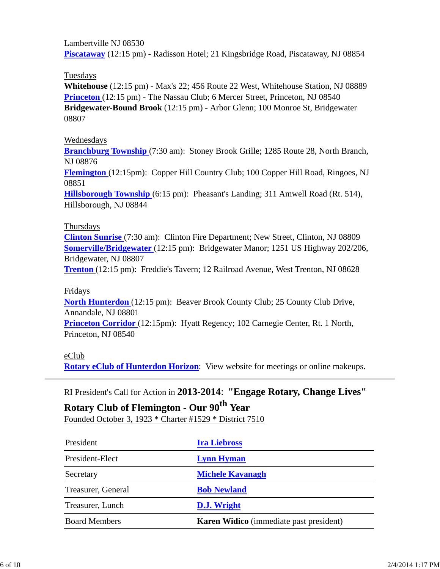Lambertville NJ 08530 **Piscataway** (12:15 pm) - Radisson Hotel; 21 Kingsbridge Road, Piscataway, NJ 08854

Tuesdays

**Whitehouse** (12:15 pm) - Max's 22; 456 Route 22 West, Whitehouse Station, NJ 08889 **Princeton** (12:15 pm) - The Nassau Club; 6 Mercer Street, Princeton, NJ 08540 **Bridgewater-Bound Brook** (12:15 pm) - Arbor Glenn; 100 Monroe St, Bridgewater 08807

## Wednesdays

**Branchburg Township** (7:30 am): Stoney Brook Grille; 1285 Route 28, North Branch, NJ 08876

**Flemington** (12:15pm): Copper Hill Country Club; 100 Copper Hill Road, Ringoes, NJ 08851

**Hillsborough Township** (6:15 pm): Pheasant's Landing; 311 Amwell Road (Rt. 514), Hillsborough, NJ 08844

#### Thursdays

**Clinton Sunrise** (7:30 am): Clinton Fire Department; New Street, Clinton, NJ 08809 **Somerville/Bridgewater** (12:15 pm): Bridgewater Manor; 1251 US Highway 202/206, Bridgewater, NJ 08807

**Trenton** (12:15 pm): Freddie's Tavern; 12 Railroad Avenue, West Trenton, NJ 08628

#### Fridays

**North Hunterdon** (12:15 pm): Beaver Brook County Club; 25 County Club Drive, Annandale, NJ 08801

**Princeton Corridor** (12:15pm): Hyatt Regency; 102 Carnegie Center, Rt. 1 North, Princeton, NJ 08540

## eClub

**Rotary eClub of Hunterdon Horizon**: View website for meetings or online makeups.

RI President's Call for Action in **2013-2014**: **"Engage Rotary, Change Lives"**

## **Rotary Club of Flemington - Our 90th Year** Founded October 3, 1923 \* Charter #1529 \* District 7510

| President            | <b>Ira Liebross</b>                            |
|----------------------|------------------------------------------------|
| President-Elect      | <b>Lynn Hyman</b>                              |
| Secretary            | <b>Michele Kavanagh</b>                        |
| Treasurer, General   | <b>Bob Newland</b>                             |
| Treasurer, Lunch     | D.J. Wright                                    |
| <b>Board Members</b> | <b>Karen Widico</b> (immediate past president) |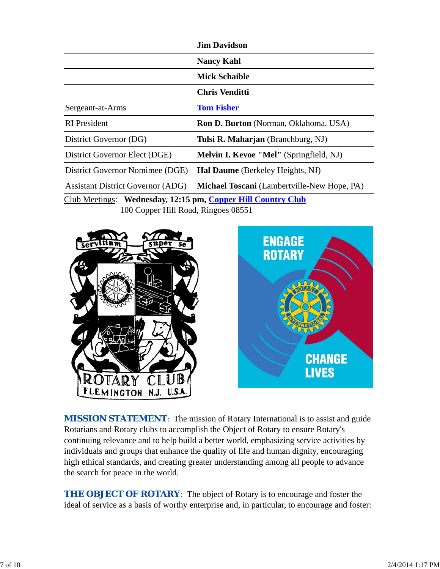|                                                              | <b>Jim Davidson</b>                                |  |  |
|--------------------------------------------------------------|----------------------------------------------------|--|--|
|                                                              | <b>Nancy Kahl</b>                                  |  |  |
|                                                              | <b>Mick Schaible</b>                               |  |  |
|                                                              | Chris Venditti                                     |  |  |
| Sergeant-at-Arms                                             | <b>Tom Fisher</b>                                  |  |  |
| <b>RI</b> President                                          | <b>Ron D. Burton</b> (Norman, Oklahoma, USA)       |  |  |
| District Governor (DG)                                       | Tulsi R. Maharjan (Branchburg, NJ)                 |  |  |
| District Governor Elect (DGE)                                | <b>Melvin I. Kevoe "Mel"</b> (Springfield, NJ)     |  |  |
| District Governor Nomimee (DGE)                              | <b>Hal Daume</b> (Berkeley Heights, NJ)            |  |  |
| <b>Assistant District Governor (ADG)</b>                     | <b>Michael Toscani</b> (Lambertville-New Hope, PA) |  |  |
| Club Meetings: Wednesday, 12:15 pm, Copper Hill Country Club |                                                    |  |  |

100 Copper Hill Road, Ringoes 08551





**MISSION STATEMENT:** The mission of Rotary International is to assist and guide Rotarians and Rotary clubs to accomplish the Object of Rotary to ensure Rotary's continuing relevance and to help build a better world, emphasizing service activities by individuals and groups that enhance the quality of life and human dignity, encouraging high ethical standards, and creating greater understanding among all people to advance the search for peace in the world.

**THE OBJECT OF ROTARY:** The object of Rotary is to encourage and foster the ideal of service as a basis of worthy enterprise and, in particular, to encourage and foster: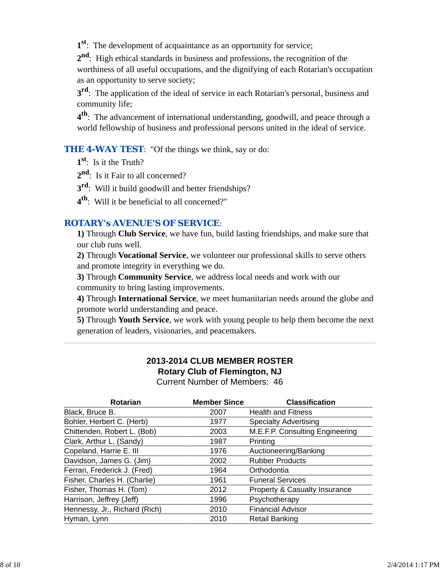**1st**: The development of acquaintance as an opportunity for service;

**2nd**: High ethical standards in business and professions, the recognition of the worthiness of all useful occupations, and the dignifying of each Rotarian's occupation as an opportunity to serve society;

**3rd**: The application of the ideal of service in each Rotarian's personal, business and community life;

**4th**: The advancement of international understanding, goodwill, and peace through a world fellowship of business and professional persons united in the ideal of service.

**THE 4-WAY TEST:** "Of the things we think, say or do:

**1st**: Is it the Truth?

2<sup>nd</sup>: Is it Fair to all concerned?

**3rd**: Will it build goodwill and better friendships?

**4th**: Will it be beneficial to all concerned?"

## *ROTARY's AVENUE'S OF SERVICE*:

**1)** Through **Club Service**, we have fun, build lasting friendships, and make sure that our club runs well.

**2)** Through **Vocational Service**, we volunteer our professional skills to serve others and promote integrity in everything we do.

**3)** Through **Community Service**, we address local needs and work with our community to bring lasting improvements.

**4)** Through **International Service**, we meet humanitarian needs around the globe and promote world understanding and peace.

**5)** Through **Youth Service**, we work with young people to help them become the next generation of leaders, visionaries, and peacemakers.

# **2013-2014 CLUB MEMBER ROSTER Rotary Club of Flemington, NJ**

Current Number of Members: 46

| <b>Member Since</b> | <b>Classification</b>           |
|---------------------|---------------------------------|
| 2007                | <b>Health and Fitness</b>       |
| 1977                | <b>Specialty Advertising</b>    |
| 2003                | M.E.F.P. Consulting Engineering |
| 1987                | Printing                        |
| 1976                | Auctioneering/Banking           |
| 2002                | <b>Rubber Products</b>          |
| 1964                | Orthodontia                     |
| 1961                | <b>Funeral Services</b>         |
| 2012                | Property & Casualty Insurance   |
| 1996                | Psychotherapy                   |
| 2010                | <b>Financial Advisor</b>        |
| 2010                | <b>Retail Banking</b>           |
|                     |                                 |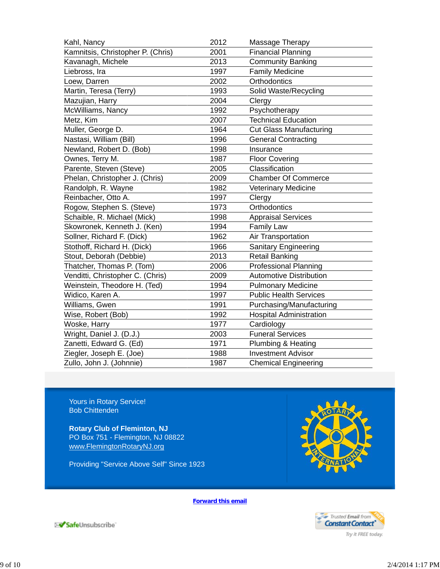| 2012 | Massage Therapy                |
|------|--------------------------------|
| 2001 | <b>Financial Planning</b>      |
| 2013 | <b>Community Banking</b>       |
| 1997 | <b>Family Medicine</b>         |
| 2002 | Orthodontics                   |
| 1993 | Solid Waste/Recycling          |
| 2004 | Clergy                         |
| 1992 | Psychotherapy                  |
| 2007 | <b>Technical Education</b>     |
| 1964 | <b>Cut Glass Manufacturing</b> |
| 1996 | <b>General Contracting</b>     |
| 1998 | Insurance                      |
| 1987 | <b>Floor Covering</b>          |
| 2005 | Classification                 |
| 2009 | <b>Chamber Of Commerce</b>     |
| 1982 | Veterinary Medicine            |
| 1997 | Clergy                         |
| 1973 | Orthodontics                   |
| 1998 | <b>Appraisal Services</b>      |
| 1994 | <b>Family Law</b>              |
| 1962 | Air Transportation             |
| 1966 | <b>Sanitary Engineering</b>    |
| 2013 | <b>Retail Banking</b>          |
| 2006 | <b>Professional Planning</b>   |
| 2009 | <b>Automotive Distribution</b> |
| 1994 | <b>Pulmonary Medicine</b>      |
| 1997 | <b>Public Health Services</b>  |
| 1991 | Purchasing/Manufacturing       |
| 1992 | <b>Hospital Administration</b> |
| 1977 | Cardiology                     |
| 2003 | <b>Funeral Services</b>        |
| 1971 | Plumbing & Heating             |
| 1988 | <b>Investment Advisor</b>      |
| 1987 | <b>Chemical Engineering</b>    |
|      |                                |

Yours in Rotary Service! Bob Chittenden

**Rotary Club of Fleminton, NJ** PO Box 751 - Flemington, NJ 08822 www.FlemingtonRotaryNJ.org

Providing "Service Above Self" Since 1923



**Forward this email**



SafeUnsubscribe